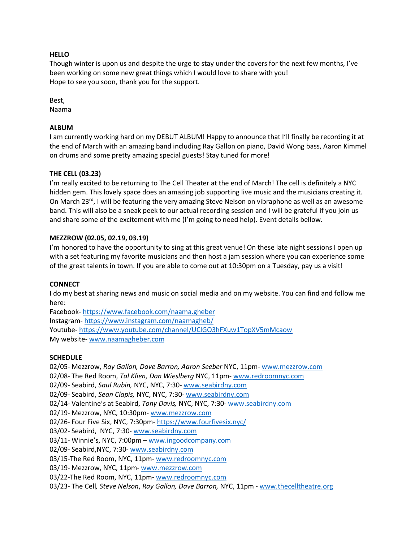## **HELLO**

Though winter is upon us and despite the urge to stay under the covers for the next few months, I've been working on some new great things which I would love to share with you! Hope to see you soon, thank you for the support.

Best,

Naama

# **ALBUM**

I am currently working hard on my DEBUT ALBUM! Happy to announce that I'll finally be recording it at the end of March with an amazing band including Ray Gallon on piano, David Wong bass, Aaron Kimmel on drums and some pretty amazing special guests! Stay tuned for more!

# **THE CELL (03.23)**

I'm really excited to be returning to The Cell Theater at the end of March! The cell is definitely a NYC hidden gem. This lovely space does an amazing job supporting live music and the musicians creating it. On March  $23^{rd}$ , I will be featuring the very amazing Steve Nelson on vibraphone as well as an awesome band. This will also be a sneak peek to our actual recording session and I will be grateful if you join us and share some of the excitement with me (I'm going to need help). Event details bellow.

## **MEZZROW (02.05, 02.19, 03.19)**

I'm honored to have the opportunity to sing at this great venue! On these late night sessions I open up with a set featuring my favorite musicians and then host a jam session where you can experience some of the great talents in town. If you are able to come out at 10:30pm on a Tuesday, pay us a visit!

## **CONNECT**

I do my best at sharing news and music on social media and on my website. You can find and follow me here:

Facebook- https://www.facebook.com/naama.gheber Instagram- https://www.instagram.com/naamagheb/ Youtube- https://www.youtube.com/channel/UClGO3hFXuw1TopXV5mMcaow My website- www.naamagheber.com

## **SCHEDULE**

02/05- Mezzrow, *Ray Gallon, Dave Barron, Aaron Seeber* NYC, 11pm- www.mezzrow.com 02/08- The Red Room, *Tal Klien, Dan Wieslberg* NYC, 11pm- www.redroomnyc.com 02/09- Seabird, *Saul Rubin,* NYC, NYC, 7:30- www.seabirdny.com 02/09- Seabird, *Sean Clapis,* NYC, NYC, 7:30- www.seabirdny.com 02/14- Valentine's at Seabird, *Tony Davis,* NYC, NYC, 7:30- www.seabirdny.com 02/19- Mezzrow, NYC, 10:30pm- www.mezzrow.com 02/26- Four Five Six, NYC, 7:30pm- https://www.fourfivesix.nyc/ 03/02- Seabird, NYC, 7:30- www.seabirdny.com 03/11- Winnie's, NYC, 7:00pm – www.ingoodcompany.com 02/09- Seabird,NYC, 7:30- www.seabirdny.com 03/15-The Red Room, NYC, 11pm- www.redroomnyc.com 03/19- Mezzrow, NYC, 11pm- www.mezzrow.com 03/22-The Red Room, NYC, 11pm- www.redroomnyc.com 03/23- The Cell*, Steve Nelson*, *Ray Gallon, Dave Barron,* NYC, 11pm - www.thecelltheatre.org